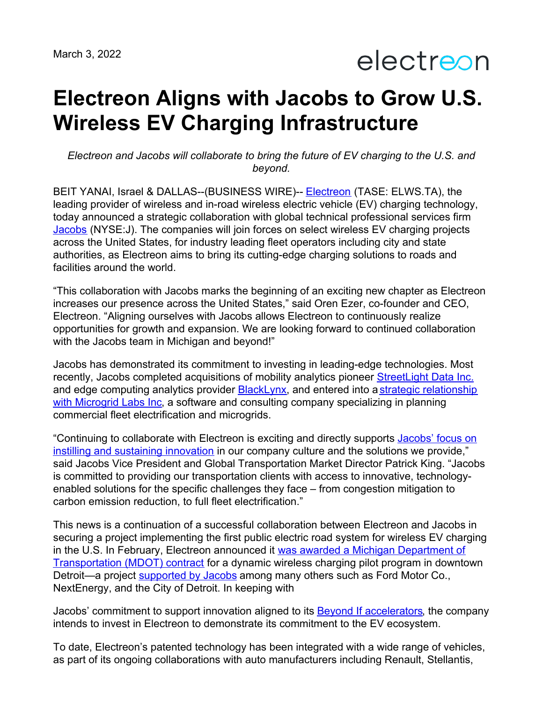electreon

## **Electreon Aligns with Jacobs to Grow U.S. Wireless EV Charging Infrastructure**

*Electreon and Jacobs will collaborate to bring the future of EV charging to the U.S. and beyond.*

BEIT YANAI, Israel & DALLAS--(BUSINESS WIRE)-- [Electreon](https://www.electreon.com/) (TASE: ELWS.TA), the leading provider of wireless and in-road wireless electric vehicle (EV) charging technology, today announced a strategic collaboration with global technical professional services firm [Jacobs](https://c212.net/c/link/?t=0&l=en&o=3084683-1&h=2649175167&u=http%253A%252F%252Fwww.jacobs.com%252F&a=Jacobs) (NYSE:J). The companies will join forces on select wireless EV charging projects across the United States, for industry leading fleet operators including city and state authorities, as Electreon aims to bring its cutting-edge charging solutions to roads and facilities around the world.

"This collaboration with Jacobs marks the beginning of an exciting new chapter as Electreon increases our presence across the United States," said Oren Ezer, co-founder and CEO, Electreon. "Aligning ourselves with Jacobs allows Electreon to continuously realize opportunities for growth and expansion. We are looking forward to continued collaboration with the Jacobs team in Michigan and beyond!"

Jacobs has demonstrated its commitment to investing in leading-edge technologies. Most recently, Jacobs completed acquisitions of mobility analytics pioneer [StreetLight](https://invest.jacobs.com/investors/Press-Release-Details/2022/Jacobs-Acquires-Mobility-Analytics-Leader-StreetLight-Data-Inc/default.aspx) Data Inc. and edge computing analytics provider [BlackLynx](https://www.jacobs.com/newsroom/news/jacobs-completes-acquisition-blacklynx), and entered into a strategic relationship with Microgrid Labs Inc, a software and consulting company [specializing](https://www.jacobs.com/newsroom/news/jacobs-enters-strategic-relationship-microgrid-labs-inc) in planning commercial fleet electrification and microgrids.

["Continuing](https://www.jacobs.com/newsroom/news/beyond-if-jacobs-commitment-innovation) to collaborate with Electreon is exciting and directly supports Jacobs' focus on instilling and sustaining innovation in our company culture and the solutions we provide," said Jacobs Vice President and Global Transportation Market Director Patrick King. "Jacobs is committed to providing our transportation clients with access to innovative, technologyenabled solutions for the specific challenges they face – from congestion mitigation to carbon emission reduction, to full fleet electrification."

This news is a continuation of a successful collaboration between Electreon and Jacobs in securing a project implementing the first public electric road system for wireless EV charging in the U.S. In February, Electreon announced it was awarded a Michigan Department of [Transportation](https://www.businesswire.com/news/home/20220201005203/en/Electreon-Announces-First-Public-Electric-Road-System-for-Wireless-Electric-Vehicle-Charging-in-the-US) (MDOT) contract for a dynamic wireless charging pilot program in downtown Detroit—a project [supported](http://www.jacobs.com/newsroom/news/jacobs-design-first-inductive-charging-project-us-public-road) by Jacobs among many others such as Ford Motor Co., NextEnergy, and the City of Detroit. In keeping with

Jacobs' commitment to support innovation aligned to its Beyond If [accelerators](https://www.jacobs.com/newsroom/news/beyond-if-jacobs-commitment-innovation), the company intends to invest in Electreon to demonstrate its commitment to the EV ecosystem.

To date, Electreon's patented technology has been integrated with a wide range of vehicles, as part of its ongoing collaborations with auto manufacturers including Renault, Stellantis,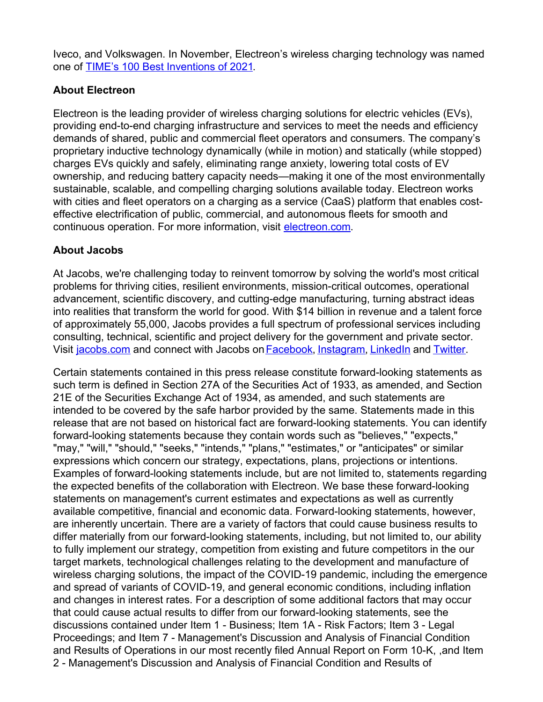Iveco, and Volkswagen. In November, Electreon's wireless charging technology was named one of TIME's 100 Best [Inventions](https://www.businesswire.com/news/home/20211110006071/en/ElectReon%25E2%2580%2599s-Electrified-Roadways-Named-Among-TIME%25E2%2580%2599s-100-Best-Inventions-of-2021) of 2021.

## **About Electreon**

Electreon is the leading provider of wireless charging solutions for electric vehicles (EVs), providing end-to-end charging infrastructure and services to meet the needs and efficiency demands of shared, public and commercial fleet operators and consumers. The company's proprietary inductive technology dynamically (while in motion) and statically (while stopped) charges EVs quickly and safely, eliminating range anxiety, lowering total costs of EV ownership, and reducing battery capacity needs—making it one of the most environmentally sustainable, scalable, and compelling charging solutions available today. Electreon works with cities and fleet operators on a charging as a service (CaaS) platform that enables costeffective electrification of public, commercial, and autonomous fleets for smooth and continuous operation. For more information, visit [electreon.com](http://www.electreon.com).

## **About Jacobs**

At Jacobs, we're challenging today to reinvent tomorrow by solving the world's most critical problems for thriving cities, resilient environments, mission-critical outcomes, operational advancement, scientific discovery, and cutting-edge manufacturing, turning abstract ideas into realities that transform the world for good. With \$14 billion in revenue and a talent force of approximately 55,000, Jacobs provides a full spectrum of professional services including consulting, technical, scientific and project delivery for the government and private sector. Visit [jacobs.com](https://c212.net/c/link/?t=0&l=en&o=2654626-1&h=4257239548&u=http%253A%252F%252Fwww.jacobs.com%252F&a=jacobs.com) and connect with Jacobs on [Facebook](https://c212.net/c/link/?t=0&l=en&o=2654626-1&h=957417935&u=https%253A%252F%252Fwww.facebook.com%252FJacobsConnects&a=Facebook), [Instagram,](https://c212.net/c/link/?t=0&l=en&o=2654626-1&h=2905716696&u=https%253A%252F%252Fwww.instagram.com%252Fjacobsconnects&a=Instagram) [LinkedIn](https://c212.net/c/link/?t=0&l=en&o=2654626-1&h=3445181529&u=https%253A%252F%252Fwww.linkedin.com%252Fcompany%252Fjacobs%252F&a=LinkedIn) and [Twitter](https://c212.net/c/link/?t=0&l=en&o=2654626-1&h=2207383687&u=https%253A%252F%252Ftwitter.com%252FJacobsConnects&a=Twitter).

Certain statements contained in this press release constitute forward-looking statements as such term is defined in Section 27A of the Securities Act of 1933, as amended, and Section 21E of the Securities Exchange Act of 1934, as amended, and such statements are intended to be covered by the safe harbor provided by the same. Statements made in this release that are not based on historical fact are forward-looking statements. You can identify forward-looking statements because they contain words such as "believes," "expects," "may," "will," "should," "seeks," "intends," "plans," "estimates," or "anticipates" or similar expressions which concern our strategy, expectations, plans, projections or intentions. Examples of forward-looking statements include, but are not limited to, statements regarding the expected benefits of the collaboration with Electreon. We base these forward-looking statements on management's current estimates and expectations as well as currently available competitive, financial and economic data. Forward-looking statements, however, are inherently uncertain. There are a variety of factors that could cause business results to differ materially from our forward-looking statements, including, but not limited to, our ability to fully implement our strategy, competition from existing and future competitors in the our target markets, technological challenges relating to the development and manufacture of wireless charging solutions, the impact of the COVID-19 pandemic, including the emergence and spread of variants of COVID-19, and general economic conditions, including inflation and changes in interest rates. For a description of some additional factors that may occur that could cause actual results to differ from our forward-looking statements, see the discussions contained under Item 1 - Business; Item 1A - Risk Factors; Item 3 - Legal Proceedings; and Item 7 - Management's Discussion and Analysis of Financial Condition and Results of Operations in our most recently filed Annual Report on Form 10-K, ,and Item 2 - Management's Discussion and Analysis of Financial Condition and Results of